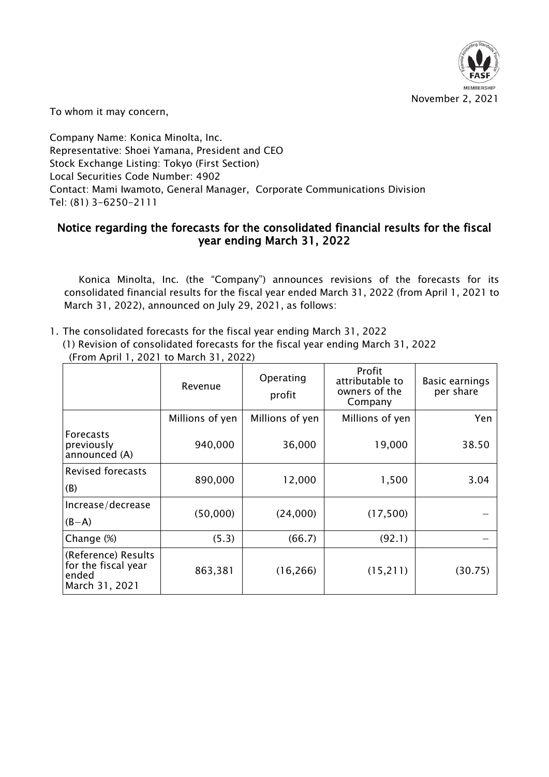

To whom it may concern,

Company Name: Konica Minolta, Inc. Representative: Shoei Yamana, President and CEO Stock Exchange Listing: Tokyo (First Section) Local Securities Code Number: 4902 Contact: Mami Iwamoto, General Manager, Corporate Communications Division Tel: (81) 3-6250-2111

## Notice regarding the forecasts for the consolidated financial results for the fiscal year ending March 31, 2022

Konica Minolta, Inc. (the "Company") announces revisions of the forecasts for its consolidated financial results for the fiscal year ended March 31, 2022 (from April 1, 2021 to March 31, 2022), announced on July 29, 2021, as follows:

1. The consolidated forecasts for the fiscal year ending March 31, 2022 (1) Revision of consolidated forecasts for the fiscal year ending March 31, 2022 (From April 1, 2021 to March 31, 2022)

|                                                                       | Revenue         | Operating<br>profit | Profit<br>attributable to<br>owners of the<br>Company | Basic earnings<br>per share |
|-----------------------------------------------------------------------|-----------------|---------------------|-------------------------------------------------------|-----------------------------|
|                                                                       | Millions of yen | Millions of yen     | Millions of yen                                       | Yen                         |
| <b>Forecasts</b><br>previously<br>announced (A)                       | 940,000         | 36,000              | 19,000                                                | 38.50                       |
| <b>Revised forecasts</b>                                              | 890,000         | 12,000              | 1,500                                                 | 3.04                        |
| (B)                                                                   |                 |                     |                                                       |                             |
| Increase/decrease                                                     | (50,000)        | (24,000)            | (17,500)                                              |                             |
| $(B-A)$                                                               |                 |                     |                                                       |                             |
| Change (%)                                                            | (5.3)           | (66.7)              | (92.1)                                                |                             |
| (Reference) Results<br>for the fiscal year<br>ended<br>March 31, 2021 | 863,381         | (16, 266)           | (15, 211)                                             | (30.75)                     |